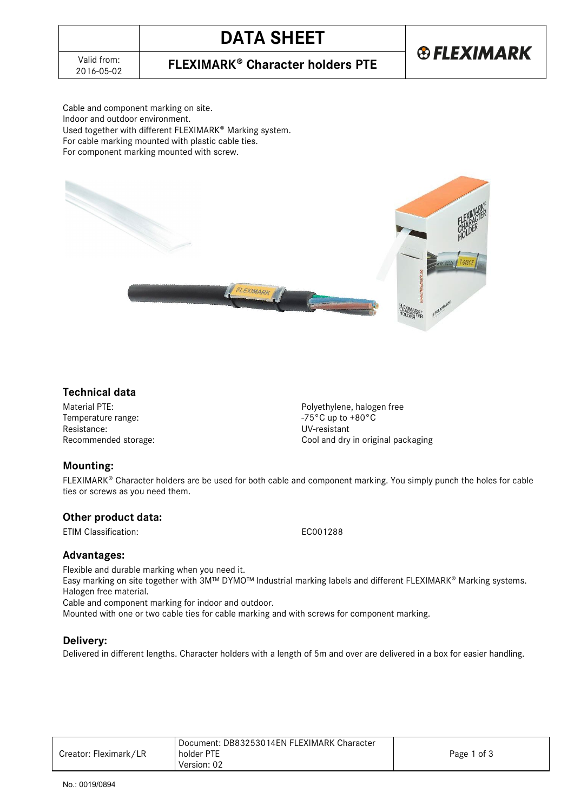# **DATA SHEET**

**®FLEXIMARK** 

2016-05-02 **FLEXIMARK Character holders PTE**

Cable and component marking on site. Indoor and outdoor environment. Used together with different FLEXIMARK<sup>®</sup> Marking system. For cable marking mounted with plastic cable ties. For component marking mounted with screw.



### **Technical data**

Temperature range: Resistance: UV-resistant<br>Recommended storage: The Cool and dry

Material PTE:<br>
Temperature range:<br>
Temperature range:<br>  $-75^{\circ}$ C up to  $+80^{\circ}$ C Cool and dry in original packaging

### **Mounting:**

FLEXIMARK<sup>®</sup> Character holders are be used for both cable and component marking. You simply punch the holes for cable ties or screws as you need them.

### **Other product data:**

ETIM Classification: EC001288

### **Advantages:**

Flexible and durable marking when you need it. Easy marking on site together with 3M™ DYMO™ Industrial marking labels and different FLEXIMARK® Marking systems. Halogen free material.

Cable and component marking for indoor and outdoor.

Mounted with one or two cable ties for cable marking and with screws for component marking.

### **Delivery:**

Delivered in different lengths. Character holders with a length of 5m and over are delivered in a box for easier handling.

|                       | Document: DB83253014EN FLEXIMARK Character |             |
|-----------------------|--------------------------------------------|-------------|
| Creator: Fleximark/LR | holder PTE                                 | Page 1 of 3 |
|                       | Version: 02                                |             |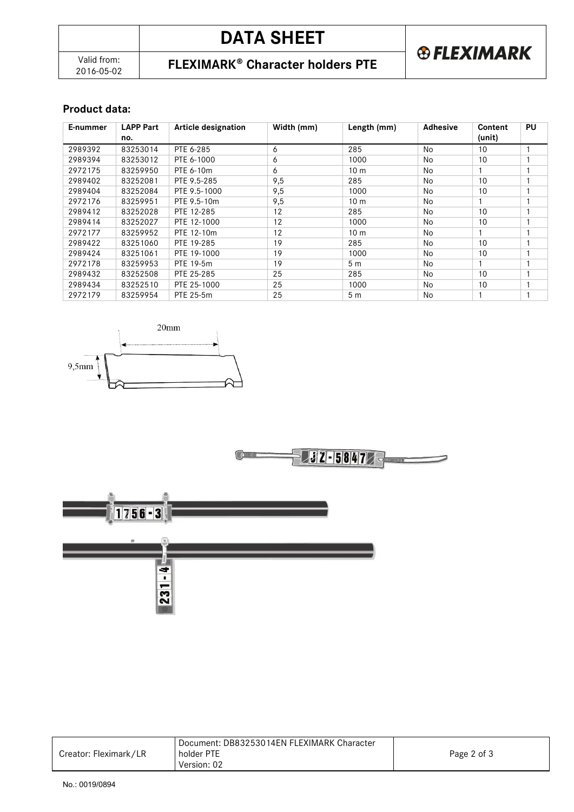| Valid from: |
|-------------|
| 2016-05-02  |

# **DATA SHEET**



### 2016-05-02 **FLEXIMARK Character holders PTE**

### **Product data:**

| E-nummer | <b>LAPP Part</b><br>no. | <b>Article designation</b> | Width (mm) | Length (mm)     | <b>Adhesive</b> | Content<br>(unit) | PU |
|----------|-------------------------|----------------------------|------------|-----------------|-----------------|-------------------|----|
|          |                         |                            |            |                 |                 |                   |    |
| 2989392  | 83253014                | PTE 6-285                  | 6          | 285             | No              | 10                |    |
| 2989394  | 83253012                | PTE 6-1000                 | 6          | 1000            | No              | 10                |    |
| 2972175  | 83259950                | PTE 6-10m                  | 6          | 10 <sub>m</sub> | No              |                   |    |
| 2989402  | 83252081                | PTE 9.5-285                | 9,5        | 285             | No              | 10                |    |
| 2989404  | 83252084                | PTE 9.5-1000               | 9,5        | 1000            | No              | 10                |    |
| 2972176  | 83259951                | PTE 9.5-10m                | 9,5        | 10 <sub>m</sub> | No              |                   |    |
| 2989412  | 83252028                | PTE 12-285                 | 12         | 285             | No              | 10                |    |
| 2989414  | 83252027                | PTE 12-1000                | 12         | 1000            | No              | 10                |    |
| 2972177  | 83259952                | PTE 12-10m                 | 12         | 10 <sub>m</sub> | No              |                   |    |
| 2989422  | 83251060                | PTE 19-285                 | 19         | 285             | No              | 10                |    |
| 2989424  | 83251061                | PTE 19-1000                | 19         | 1000            | No              | 10                |    |
| 2972178  | 83259953                | PTE 19-5m                  | 19         | 5 <sub>m</sub>  | No              |                   |    |
| 2989432  | 83252508                | PTE 25-285                 | 25         | 285             | No              | 10                |    |
| 2989434  | 83252510                | PTE 25-1000                | 25         | 1000            | No              | 10                |    |
| 2972179  | 83259954                | PTE 25-5m                  | 25         | 5 <sub>m</sub>  | <b>No</b>       |                   |    |







|                       | Document: DB83253014EN FLEXIMARK Character |             |
|-----------------------|--------------------------------------------|-------------|
| Creator: Fleximark/LR | holder PTE                                 | Page 2 of 3 |
|                       | Version: 02                                |             |